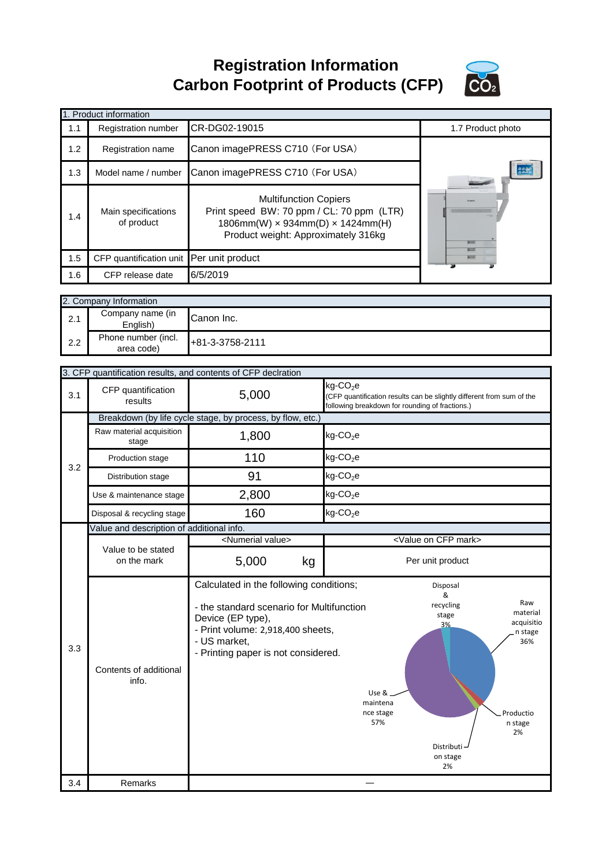**Registration Information Carbon Footprint of Products (CFP)**



|                        | 1. Product information                     |                                                                                                                                                         |                   |  |  |
|------------------------|--------------------------------------------|---------------------------------------------------------------------------------------------------------------------------------------------------------|-------------------|--|--|
| 1.1                    | Registration number                        | CR-DG02-19015                                                                                                                                           | 1.7 Product photo |  |  |
| 1.2                    | Registration name                          | Canon imagePRESS C710 (For USA)                                                                                                                         |                   |  |  |
| 1.3                    | Model name / number                        | Canon imagePRESS C710 (For USA)                                                                                                                         | 高温度               |  |  |
| 1.4                    | Main specifications<br>of product          | <b>Multifunction Copiers</b><br>Print speed BW: 70 ppm / CL: 70 ppm (LTR)<br>$1806$ mm(W) × 934mm(D) × 1424mm(H)<br>Product weight: Approximately 316kg |                   |  |  |
| 1.5                    | CFP quantification unit Per unit product   |                                                                                                                                                         |                   |  |  |
| 1.6                    | CFP release date                           | 6/5/2019                                                                                                                                                |                   |  |  |
|                        |                                            |                                                                                                                                                         |                   |  |  |
| 2. Company Information |                                            |                                                                                                                                                         |                   |  |  |
| 2.1                    | Company name (in<br>Canon Inc.<br>English) |                                                                                                                                                         |                   |  |  |

| 2.2 | Phone number (incl.<br>area code)         | +81-3-3758-2111                                                                                                                                                                                       |                                                                                                                                                                                                      |
|-----|-------------------------------------------|-------------------------------------------------------------------------------------------------------------------------------------------------------------------------------------------------------|------------------------------------------------------------------------------------------------------------------------------------------------------------------------------------------------------|
|     |                                           |                                                                                                                                                                                                       |                                                                                                                                                                                                      |
|     |                                           | 3. CFP quantification results, and contents of CFP declration                                                                                                                                         |                                                                                                                                                                                                      |
| 3.1 | CFP quantification<br>results             | 5,000                                                                                                                                                                                                 | $kg$ -CO <sub>2</sub> e<br>(CFP quantification results can be slightly different from sum of the<br>following breakdown for rounding of fractions.)                                                  |
|     |                                           | Breakdown (by life cycle stage, by process, by flow, etc.)                                                                                                                                            |                                                                                                                                                                                                      |
|     | Raw material acquisition<br>stage         | 1,800                                                                                                                                                                                                 | $kg$ -CO <sub>2</sub> e                                                                                                                                                                              |
| 3.2 | Production stage                          | 110                                                                                                                                                                                                   | $kg$ -CO <sub>2</sub> e                                                                                                                                                                              |
|     | Distribution stage                        | 91                                                                                                                                                                                                    | $kg$ -CO <sub>2</sub> e                                                                                                                                                                              |
|     | Use & maintenance stage                   | 2,800                                                                                                                                                                                                 | $kg$ -CO <sub>2</sub> e                                                                                                                                                                              |
|     | Disposal & recycling stage                | 160                                                                                                                                                                                                   | $kg$ -CO <sub>2</sub> e                                                                                                                                                                              |
|     | Value and description of additional info. |                                                                                                                                                                                                       |                                                                                                                                                                                                      |
|     |                                           | <numerial value=""></numerial>                                                                                                                                                                        | <value cfp="" mark="" on=""></value>                                                                                                                                                                 |
|     | Value to be stated<br>on the mark         | 5,000<br>kg                                                                                                                                                                                           | Per unit product                                                                                                                                                                                     |
| 3.3 | Contents of additional<br>info.           | Calculated in the following conditions;<br>- the standard scenario for Multifunction<br>Device (EP type),<br>- Print volume: 2,918,400 sheets,<br>- US market,<br>- Printing paper is not considered. | Disposal<br>&<br>Raw<br>recycling<br>material<br>stage<br>acquisitio<br>3%<br>n stage<br>36%<br>Use &.<br>maintena<br>Productio<br>nce stage<br>57%<br>n stage<br>2%<br>Distributi<br>on stage<br>2% |
| 3.4 | Remarks                                   |                                                                                                                                                                                                       |                                                                                                                                                                                                      |
|     |                                           |                                                                                                                                                                                                       |                                                                                                                                                                                                      |